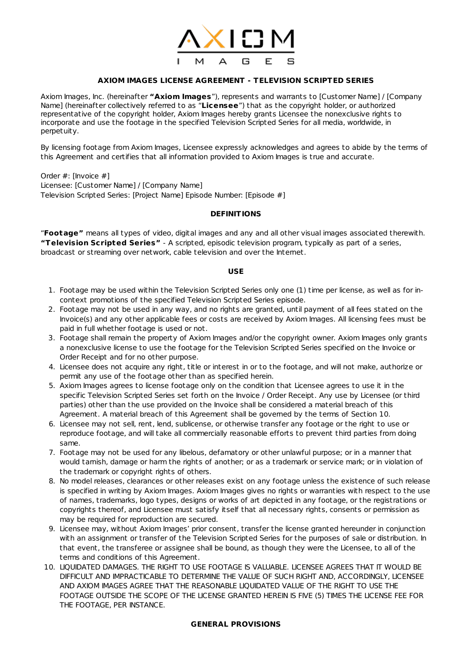

# **AXIOM IMAGES LICENSE AGREEMENT - TELEVISION SCRIPTED SERIES**

Axiom Images, Inc. (hereinafter **"Axiom Images**"), represents and warrants to [Customer Name] / [Company Name] (hereinafter collectively referred to as "**Licensee**") that as the copyright holder, or authorized representative of the copyright holder, Axiom Images hereby grants Licensee the nonexclusive rights to incorporate and use the footage in the specified Television Scripted Series for all media, worldwide, in perpetuity.

By licensing footage from Axiom Images, Licensee expressly acknowledges and agrees to abide by the terms of this Agreement and certifies that all information provided to Axiom Images is true and accurate.

Order #: [Invoice #] Licensee: [Customer Name] / [Company Name] Television Scripted Series: [Project Name] Episode Number: [Episode #]

### **DEFINITIONS**

"**Footage"** means all types of video, digital images and any and all other visual images associated therewith. **"Television Scripted Series"** - A scripted, episodic television program, typically as part of a series, broadcast or streaming over network, cable television and over the Internet.

#### **USE**

- 1. Footage may be used within the Television Scripted Series only one (1) time per license, as well as for incontext promotions of the specified Television Scripted Series episode.
- 2. Footage may not be used in any way, and no rights are granted, until payment of all fees stated on the Invoice(s) and any other applicable fees or costs are received by Axiom Images. All licensing fees must be paid in full whether footage is used or not.
- 3. Footage shall remain the property of Axiom Images and/or the copyright owner. Axiom Images only grants a nonexclusive license to use the footage for the Television Scripted Series specified on the Invoice or Order Receipt and for no other purpose.
- 4. Licensee does not acquire any right, title or interest in or to the footage, and will not make, authorize or permit any use of the footage other than as specified herein.
- 5. Axiom Images agrees to license footage only on the condition that Licensee agrees to use it in the specific Television Scripted Series set forth on the Invoice / Order Receipt. Any use by Licensee (or third parties) other than the use provided on the Invoice shall be considered a material breach of this Agreement. A material breach of this Agreement shall be governed by the terms of Section 10.
- 6. Licensee may not sell, rent, lend, sublicense, or otherwise transfer any footage or the right to use or reproduce footage, and will take all commercially reasonable efforts to prevent third parties from doing same.
- 7. Footage may not be used for any libelous, defamatory or other unlawful purpose; or in a manner that would tarnish, damage or harm the rights of another; or as a trademark or service mark; or in violation of the trademark or copyright rights of others.
- 8. No model releases, clearances or other releases exist on any footage unless the existence of such release is specified in writing by Axiom Images. Axiom Images gives no rights or warranties with respect to the use of names, trademarks, logo types, designs or works of art depicted in any footage, or the registrations or copyrights thereof, and Licensee must satisfy itself that all necessary rights, consents or permission as may be required for reproduction are secured.
- 9. Licensee may, without Axiom Images' prior consent, transfer the license granted hereunder in conjunction with an assignment or transfer of the Television Scripted Series for the purposes of sale or distribution. In that event, the transferee or assignee shall be bound, as though they were the Licensee, to all of the terms and conditions of this Agreement.
- 10. LIQUIDATED DAMAGES. THE RIGHT TO USE FOOTAGE IS VALUABLE. LICENSEE AGREES THAT IT WOULD BE DIFFICULT AND IMPRACTICABLE TO DETERMINE THE VALUE OF SUCH RIGHT AND, ACCORDINGLY, LICENSEE AND AXIOM IMAGES AGREE THAT THE REASONABLE LIQUIDATED VALUE OF THE RIGHT TO USE THE FOOTAGE OUTSIDE THE SCOPE OF THE LICENSE GRANTED HEREIN IS FIVE (5) TIMES THE LICENSE FEE FOR THE FOOTAGE, PER INSTANCE.

## **GENERAL PROVISIONS**